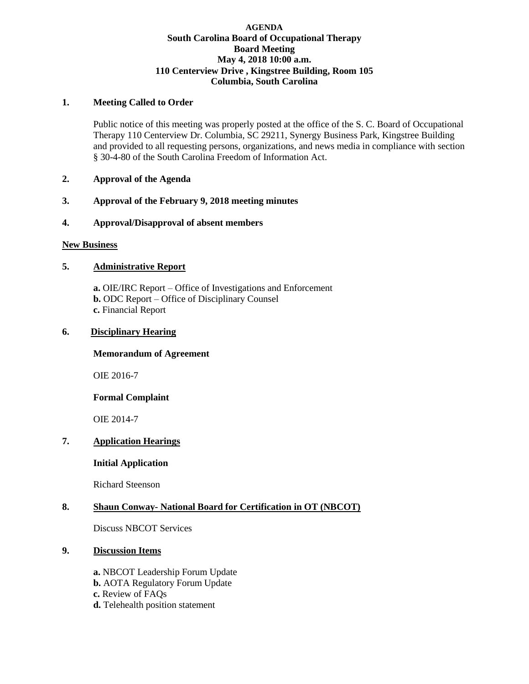#### **AGENDA South Carolina Board of Occupational Therapy Board Meeting May 4, 2018 10:00 a.m. 110 Centerview Drive , Kingstree Building, Room 105 Columbia, South Carolina**

# **1. Meeting Called to Order**

Public notice of this meeting was properly posted at the office of the S. C. Board of Occupational Therapy 110 Centerview Dr. Columbia, SC 29211, Synergy Business Park, Kingstree Building and provided to all requesting persons, organizations, and news media in compliance with section § 30-4-80 of the South Carolina Freedom of Information Act.

# **2. Approval of the Agenda**

# **3. Approval of the February 9, 2018 meeting minutes**

### **4. Approval/Disapproval of absent members**

#### **New Business**

# **5. Administrative Report**

**a.** OIE/IRC Report – Office of Investigations and Enforcement **b.** ODC Report – Office of Disciplinary Counsel **c.** Financial Report

### **6. Disciplinary Hearing**

### **Memorandum of Agreement**

OIE 2016-7

#### **Formal Complaint**

OIE 2014-7

### **7. Application Hearings**

### **Initial Application**

Richard Steenson

### **8. Shaun Conway- National Board for Certification in OT (NBCOT)**

Discuss NBCOT Services

### **9. Discussion Items**

**a.** NBCOT Leadership Forum Update **b.** AOTA Regulatory Forum Update **c.** Review of FAQs **d.** Telehealth position statement